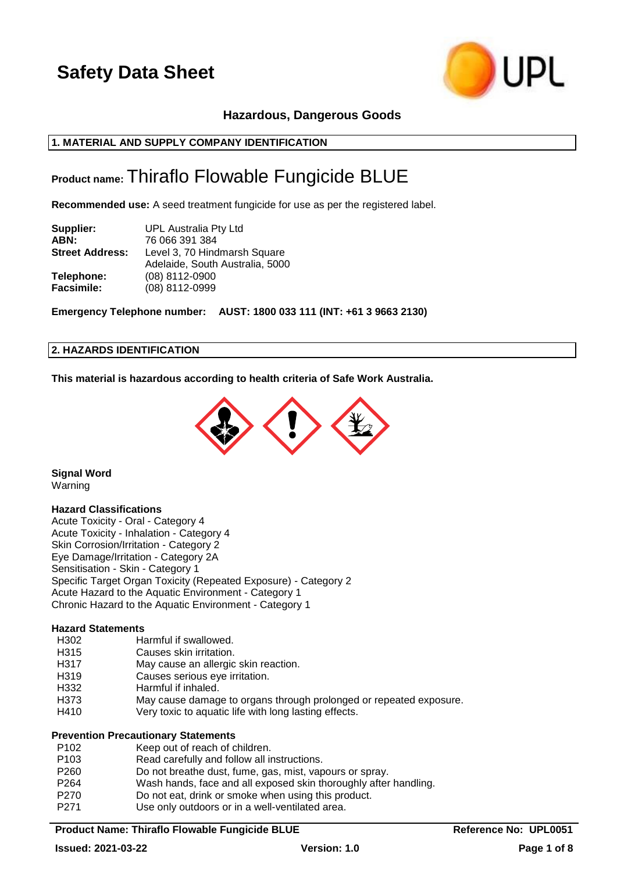

## **Hazardous, Dangerous Goods**

## **1. MATERIAL AND SUPPLY COMPANY IDENTIFICATION**

## **Product name:** Thiraflo Flowable Fungicide BLUE

**Recommended use:** A seed treatment fungicide for use as per the registered label.

| Supplier:                       | UPL Australia Pty Ltd                                           |
|---------------------------------|-----------------------------------------------------------------|
| ABN:                            | 76 066 391 384                                                  |
| <b>Street Address:</b>          | Level 3, 70 Hindmarsh Square<br>Adelaide, South Australia, 5000 |
| Telephone:<br><b>Facsimile:</b> | (08) 8112-0900<br>(08) 8112-0999                                |

**Emergency Telephone number: AUST: 1800 033 111 (INT: +61 3 9663 2130)**

### **2. HAZARDS IDENTIFICATION**

**This material is hazardous according to health criteria of Safe Work Australia.**



**Signal Word** Warning

#### **Hazard Classifications**

Acute Toxicity - Oral - Category 4 Acute Toxicity - Inhalation - Category 4 Skin Corrosion/Irritation - Category 2 Eye Damage/Irritation - Category 2A Sensitisation - Skin - Category 1 Specific Target Organ Toxicity (Repeated Exposure) - Category 2 Acute Hazard to the Aquatic Environment - Category 1 Chronic Hazard to the Aquatic Environment - Category 1

## **Hazard Statements**

- H302 Harmful if swallowed.<br>H315 Causes skin irritation.
- Causes skin irritation.
- H317 May cause an allergic skin reaction.
- H319 Causes serious eye irritation.
- H332 Harmful if inhaled.
- H373 May cause damage to organs through prolonged or repeated exposure.
- H410 Very toxic to aquatic life with long lasting effects.

#### **Prevention Precautionary Statements**

| P <sub>102</sub> | Keep out of reach of children.                                   |
|------------------|------------------------------------------------------------------|
| P <sub>103</sub> | Read carefully and follow all instructions.                      |
| P <sub>260</sub> | Do not breathe dust, fume, gas, mist, vapours or spray.          |
| P <sub>264</sub> | Wash hands, face and all exposed skin thoroughly after handling. |
| P270             | Do not eat, drink or smoke when using this product.              |
| P <sub>271</sub> | Use only outdoors or in a well-ventilated area.                  |
|                  |                                                                  |

**Product Name: Thiraflo Flowable Fungicide BLUE** Reference No: UPL0051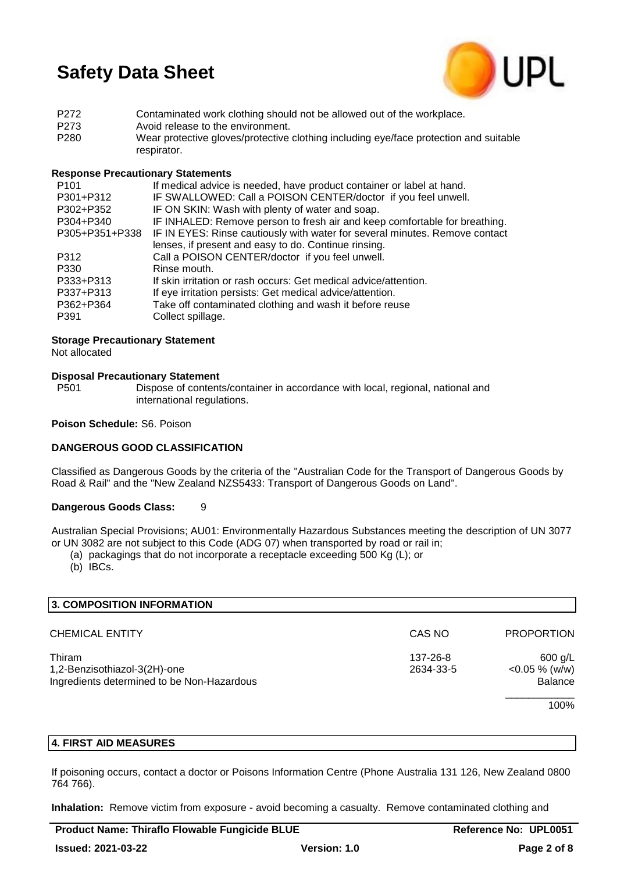

P272 Contaminated work clothing should not be allowed out of the workplace. P273 Avoid release to the environment. P280 Wear protective gloves/protective clothing including eye/face protection and suitable respirator.

## **Response Precautionary Statements**

| P <sub>101</sub> | If medical advice is needed, have product container or label at hand.       |
|------------------|-----------------------------------------------------------------------------|
| P301+P312        | IF SWALLOWED: Call a POISON CENTER/doctor if you feel unwell.               |
| P302+P352        | IF ON SKIN: Wash with plenty of water and soap.                             |
| P304+P340        | IF INHALED: Remove person to fresh air and keep comfortable for breathing.  |
| P305+P351+P338   | IF IN EYES: Rinse cautiously with water for several minutes. Remove contact |
|                  | lenses, if present and easy to do. Continue rinsing.                        |
| P312             | Call a POISON CENTER/doctor if you feel unwell.                             |
| P330             | Rinse mouth.                                                                |
| P333+P313        | If skin irritation or rash occurs: Get medical advice/attention.            |
| P337+P313        | If eye irritation persists: Get medical advice/attention.                   |
| P362+P364        | Take off contaminated clothing and wash it before reuse                     |
| P391             | Collect spillage.                                                           |
|                  |                                                                             |

## **Storage Precautionary Statement**

Not allocated

#### **Disposal Precautionary Statement**

P501 Dispose of contents/container in accordance with local, regional, national and international regulations.

#### **Poison Schedule:** S6. Poison

## **DANGEROUS GOOD CLASSIFICATION**

Classified as Dangerous Goods by the criteria of the "Australian Code for the Transport of Dangerous Goods by Road & Rail" and the "New Zealand NZS5433: Transport of Dangerous Goods on Land".

## **Dangerous Goods Class:** 9

Australian Special Provisions; AU01: Environmentally Hazardous Substances meeting the description of UN 3077 or UN 3082 are not subject to this Code (ADG 07) when transported by road or rail in;

(a) packagings that do not incorporate a receptacle exceeding 500 Kg (L); or

(b) IBCs.

| 3. COMPOSITION INFORMATION                                                           |                       |                                          |
|--------------------------------------------------------------------------------------|-----------------------|------------------------------------------|
| <b>CHEMICAL ENTITY</b>                                                               | CAS NO                | <b>PROPORTION</b>                        |
| Thiram<br>1,2-Benzisothiazol-3(2H)-one<br>Ingredients determined to be Non-Hazardous | 137-26-8<br>2634-33-5 | $600$ g/L<br>$<$ 0.05 % (w/w)<br>Balance |
|                                                                                      |                       | 100%                                     |

## **4. FIRST AID MEASURES**

If poisoning occurs, contact a doctor or Poisons Information Centre (Phone Australia 131 126, New Zealand 0800 764 766).

**Inhalation:** Remove victim from exposure - avoid becoming a casualty. Remove contaminated clothing and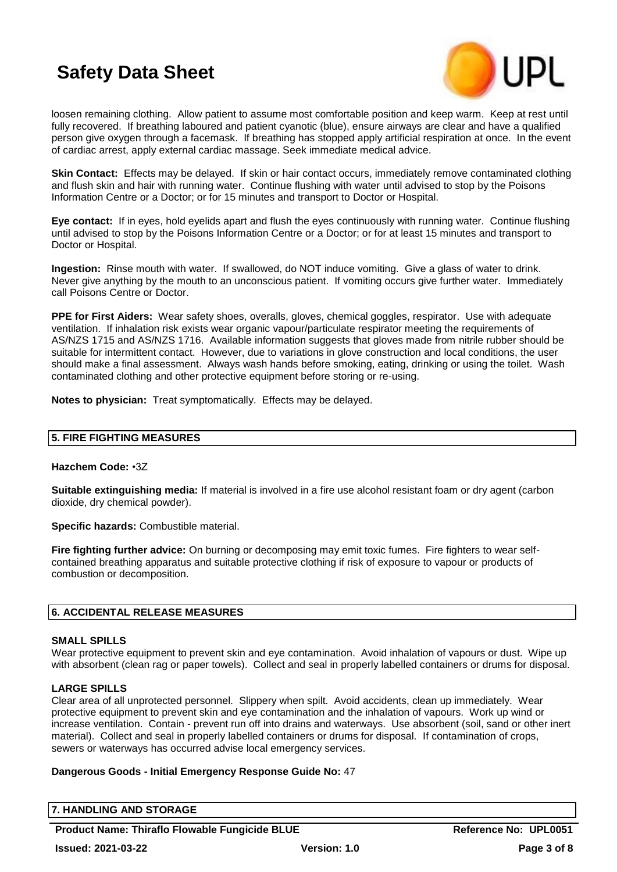

loosen remaining clothing. Allow patient to assume most comfortable position and keep warm. Keep at rest until fully recovered. If breathing laboured and patient cyanotic (blue), ensure airways are clear and have a qualified person give oxygen through a facemask. If breathing has stopped apply artificial respiration at once. In the event of cardiac arrest, apply external cardiac massage. Seek immediate medical advice.

**Skin Contact:** Effects may be delayed. If skin or hair contact occurs, immediately remove contaminated clothing and flush skin and hair with running water. Continue flushing with water until advised to stop by the Poisons Information Centre or a Doctor; or for 15 minutes and transport to Doctor or Hospital.

**Eye contact:** If in eyes, hold eyelids apart and flush the eyes continuously with running water. Continue flushing until advised to stop by the Poisons Information Centre or a Doctor; or for at least 15 minutes and transport to Doctor or Hospital.

**Ingestion:** Rinse mouth with water. If swallowed, do NOT induce vomiting. Give a glass of water to drink. Never give anything by the mouth to an unconscious patient. If vomiting occurs give further water. Immediately call Poisons Centre or Doctor.

**PPE for First Aiders:** Wear safety shoes, overalls, gloves, chemical goggles, respirator. Use with adequate ventilation. If inhalation risk exists wear organic vapour/particulate respirator meeting the requirements of AS/NZS 1715 and AS/NZS 1716. Available information suggests that gloves made from nitrile rubber should be suitable for intermittent contact. However, due to variations in glove construction and local conditions, the user should make a final assessment. Always wash hands before smoking, eating, drinking or using the toilet. Wash contaminated clothing and other protective equipment before storing or re-using.

**Notes to physician:** Treat symptomatically. Effects may be delayed.

## **5. FIRE FIGHTING MEASURES**

## **Hazchem Code:** •3Z

**Suitable extinguishing media:** If material is involved in a fire use alcohol resistant foam or dry agent (carbon dioxide, dry chemical powder).

**Specific hazards:** Combustible material.

**Fire fighting further advice:** On burning or decomposing may emit toxic fumes. Fire fighters to wear selfcontained breathing apparatus and suitable protective clothing if risk of exposure to vapour or products of combustion or decomposition.

## **6. ACCIDENTAL RELEASE MEASURES**

#### **SMALL SPILLS**

Wear protective equipment to prevent skin and eve contamination. Avoid inhalation of vapours or dust. Wipe up with absorbent (clean rag or paper towels). Collect and seal in properly labelled containers or drums for disposal.

#### **LARGE SPILLS**

Clear area of all unprotected personnel. Slippery when spilt. Avoid accidents, clean up immediately. Wear protective equipment to prevent skin and eye contamination and the inhalation of vapours. Work up wind or increase ventilation. Contain - prevent run off into drains and waterways. Use absorbent (soil, sand or other inert material). Collect and seal in properly labelled containers or drums for disposal. If contamination of crops, sewers or waterways has occurred advise local emergency services.

#### **Dangerous Goods - Initial Emergency Response Guide No:** 47

**7. HANDLING AND STORAGE**

**Product Name: Thiraflo Flowable Fungicide BLUE** Reference No: UPL0051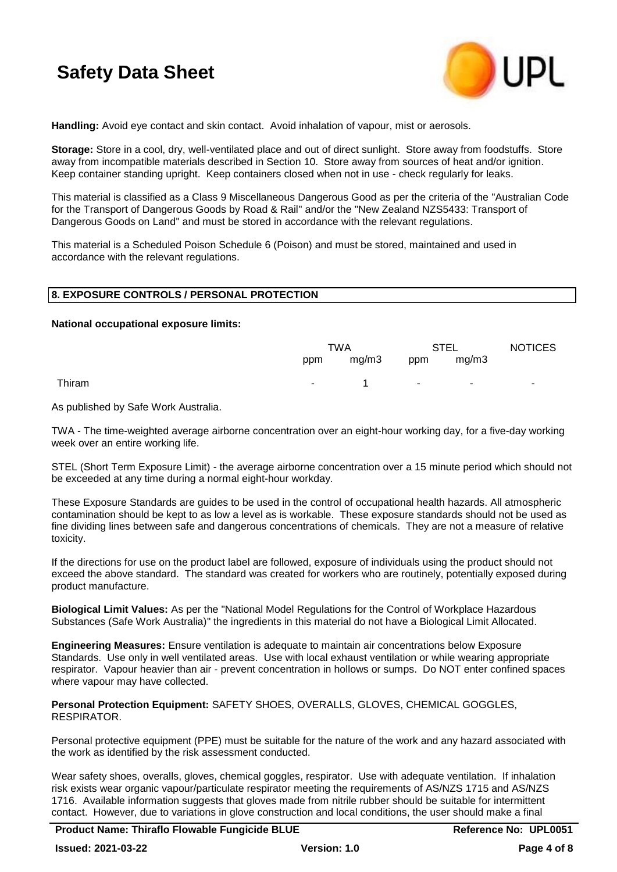

**Handling:** Avoid eye contact and skin contact. Avoid inhalation of vapour, mist or aerosols.

**Storage:** Store in a cool, dry, well-ventilated place and out of direct sunlight. Store away from foodstuffs. Store away from incompatible materials described in Section 10. Store away from sources of heat and/or ignition. Keep container standing upright. Keep containers closed when not in use - check regularly for leaks.

This material is classified as a Class 9 Miscellaneous Dangerous Good as per the criteria of the "Australian Code for the Transport of Dangerous Goods by Road & Rail" and/or the "New Zealand NZS5433: Transport of Dangerous Goods on Land" and must be stored in accordance with the relevant regulations.

This material is a Scheduled Poison Schedule 6 (Poison) and must be stored, maintained and used in accordance with the relevant regulations.

#### **8. EXPOSURE CONTROLS / PERSONAL PROTECTION**

#### **National occupational exposure limits:**

|        | TWA                     |                     | <b>STEL</b>                         |  | <b>NOTICES</b> |
|--------|-------------------------|---------------------|-------------------------------------|--|----------------|
|        |                         | ppm mg/m3 ppm mg/m3 |                                     |  |                |
| Thiram | <b>Service Contract</b> |                     | the contract of the contract of the |  | ۰.             |

As published by Safe Work Australia.

TWA - The time-weighted average airborne concentration over an eight-hour working day, for a five-day working week over an entire working life.

STEL (Short Term Exposure Limit) - the average airborne concentration over a 15 minute period which should not be exceeded at any time during a normal eight-hour workday.

These Exposure Standards are guides to be used in the control of occupational health hazards. All atmospheric contamination should be kept to as low a level as is workable. These exposure standards should not be used as fine dividing lines between safe and dangerous concentrations of chemicals. They are not a measure of relative toxicity.

If the directions for use on the product label are followed, exposure of individuals using the product should not exceed the above standard. The standard was created for workers who are routinely, potentially exposed during product manufacture.

**Biological Limit Values:** As per the "National Model Regulations for the Control of Workplace Hazardous Substances (Safe Work Australia)" the ingredients in this material do not have a Biological Limit Allocated.

**Engineering Measures:** Ensure ventilation is adequate to maintain air concentrations below Exposure Standards. Use only in well ventilated areas. Use with local exhaust ventilation or while wearing appropriate respirator. Vapour heavier than air - prevent concentration in hollows or sumps. Do NOT enter confined spaces where vapour may have collected.

**Personal Protection Equipment:** SAFETY SHOES, OVERALLS, GLOVES, CHEMICAL GOGGLES, RESPIRATOR.

Personal protective equipment (PPE) must be suitable for the nature of the work and any hazard associated with the work as identified by the risk assessment conducted.

Wear safety shoes, overalls, gloves, chemical goggles, respirator. Use with adequate ventilation. If inhalation risk exists wear organic vapour/particulate respirator meeting the requirements of AS/NZS 1715 and AS/NZS 1716. Available information suggests that gloves made from nitrile rubber should be suitable for intermittent contact. However, due to variations in glove construction and local conditions, the user should make a final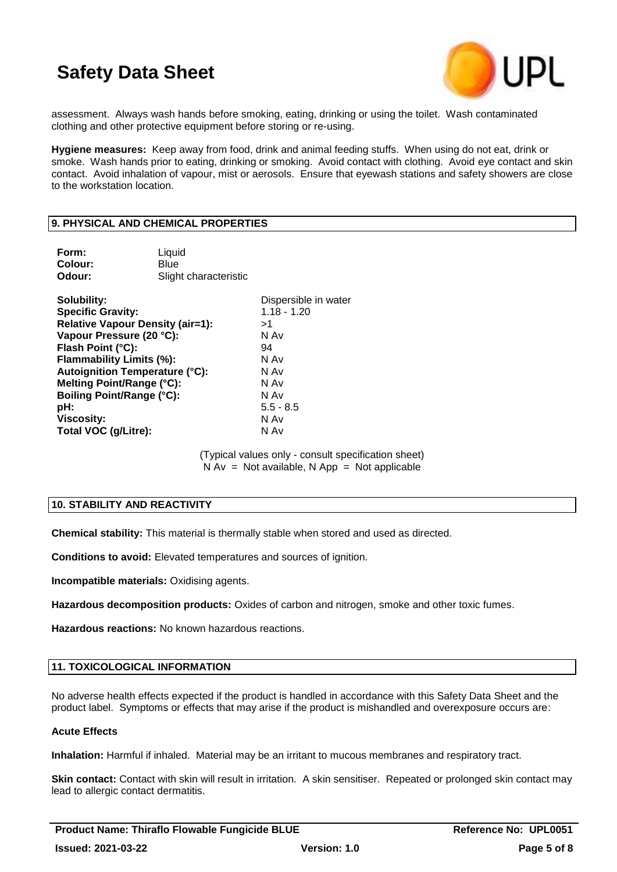

assessment. Always wash hands before smoking, eating, drinking or using the toilet. Wash contaminated clothing and other protective equipment before storing or re-using.

**Hygiene measures:** Keep away from food, drink and animal feeding stuffs. When using do not eat, drink or smoke. Wash hands prior to eating, drinking or smoking. Avoid contact with clothing. Avoid eye contact and skin contact. Avoid inhalation of vapour, mist or aerosols. Ensure that eyewash stations and safety showers are close to the workstation location.

### **9. PHYSICAL AND CHEMICAL PROPERTIES**

| Form:<br>Colour:<br>Odour:                                          | Liquid<br>Blue<br>Slight characteristic |                      |
|---------------------------------------------------------------------|-----------------------------------------|----------------------|
| Solubility:                                                         |                                         | Dispersible in water |
| <b>Specific Gravity:</b><br><b>Relative Vapour Density (air=1):</b> |                                         | $1.18 - 1.20$<br>>1  |
| Vapour Pressure (20 °C):                                            |                                         | N Av                 |
| Flash Point (°C):                                                   |                                         | 94                   |
| Flammability Limits (%):                                            |                                         | N Av                 |
| <b>Autoignition Temperature (°C):</b>                               |                                         | N Av                 |
| Melting Point/Range (°C):                                           |                                         | N Av                 |
| <b>Boiling Point/Range (°C):</b>                                    |                                         | N Av                 |
| pH:                                                                 |                                         | $5.5 - 8.5$          |
| <b>Viscosity:</b>                                                   |                                         | N Av                 |
| Total VOC (g/Litre):                                                |                                         | N Av                 |

(Typical values only - consult specification sheet)  $N Av = Not available, N App = Not applicable$ 

## **10. STABILITY AND REACTIVITY**

**Chemical stability:** This material is thermally stable when stored and used as directed.

**Conditions to avoid:** Elevated temperatures and sources of ignition.

**Incompatible materials:** Oxidising agents.

**Hazardous decomposition products:** Oxides of carbon and nitrogen, smoke and other toxic fumes.

**Hazardous reactions:** No known hazardous reactions.

## **11. TOXICOLOGICAL INFORMATION**

No adverse health effects expected if the product is handled in accordance with this Safety Data Sheet and the product label. Symptoms or effects that may arise if the product is mishandled and overexposure occurs are:

#### **Acute Effects**

**Inhalation:** Harmful if inhaled. Material may be an irritant to mucous membranes and respiratory tract.

**Skin contact:** Contact with skin will result in irritation. A skin sensitiser. Repeated or prolonged skin contact may lead to allergic contact dermatitis.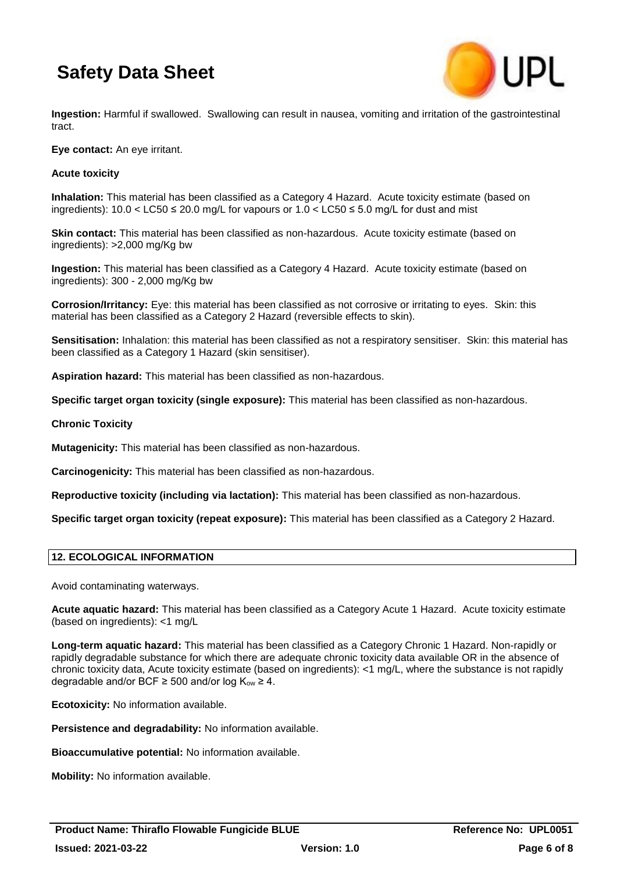

**Ingestion:** Harmful if swallowed. Swallowing can result in nausea, vomiting and irritation of the gastrointestinal tract.

**Eye contact:** An eye irritant.

## **Acute toxicity**

**Inhalation:** This material has been classified as a Category 4 Hazard. Acute toxicity estimate (based on ingredients):  $10.0 <$  LC50  $\leq$  20.0 mg/L for vapours or  $1.0 <$  LC50  $\leq$  5.0 mg/L for dust and mist

**Skin contact:** This material has been classified as non-hazardous. Acute toxicity estimate (based on ingredients): >2,000 mg/Kg bw

**Ingestion:** This material has been classified as a Category 4 Hazard. Acute toxicity estimate (based on ingredients): 300 - 2,000 mg/Kg bw

**Corrosion/Irritancy:** Eye: this material has been classified as not corrosive or irritating to eyes. Skin: this material has been classified as a Category 2 Hazard (reversible effects to skin).

**Sensitisation:** Inhalation: this material has been classified as not a respiratory sensitiser. Skin: this material has been classified as a Category 1 Hazard (skin sensitiser).

**Aspiration hazard:** This material has been classified as non-hazardous.

**Specific target organ toxicity (single exposure):** This material has been classified as non-hazardous.

#### **Chronic Toxicity**

**Mutagenicity:** This material has been classified as non-hazardous.

**Carcinogenicity:** This material has been classified as non-hazardous.

**Reproductive toxicity (including via lactation):** This material has been classified as non-hazardous.

**Specific target organ toxicity (repeat exposure):** This material has been classified as a Category 2 Hazard.

## **12. ECOLOGICAL INFORMATION**

Avoid contaminating waterways.

**Acute aquatic hazard:** This material has been classified as a Category Acute 1 Hazard. Acute toxicity estimate (based on ingredients): <1 mg/L

**Long-term aquatic hazard:** This material has been classified as a Category Chronic 1 Hazard. Non-rapidly or rapidly degradable substance for which there are adequate chronic toxicity data available OR in the absence of chronic toxicity data, Acute toxicity estimate (based on ingredients): <1 mg/L, where the substance is not rapidly degradable and/or BCF  $\geq$  500 and/or log K<sub>ow</sub>  $\geq$  4.

**Ecotoxicity:** No information available.

**Persistence and degradability:** No information available.

**Bioaccumulative potential:** No information available.

**Mobility:** No information available.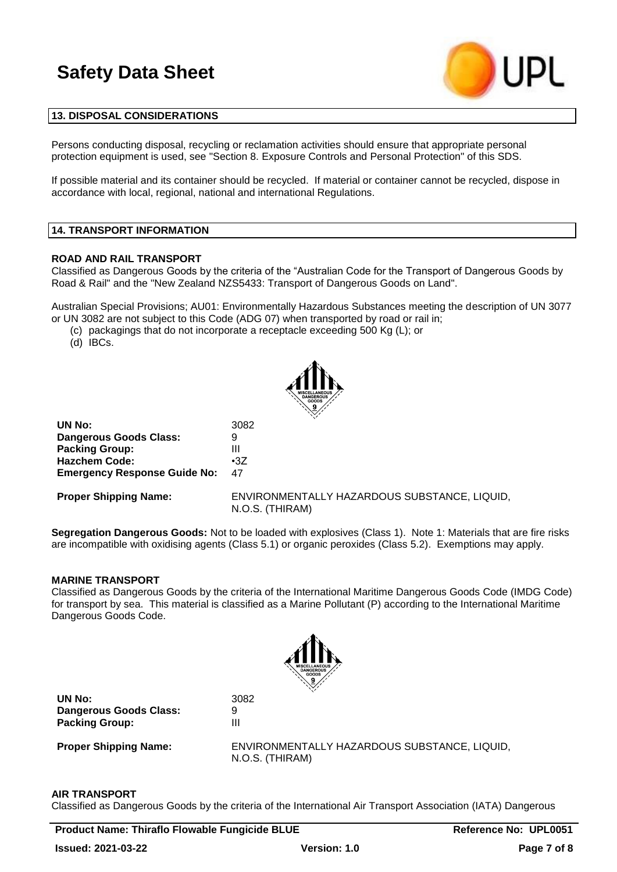

#### **13. DISPOSAL CONSIDERATIONS**

Persons conducting disposal, recycling or reclamation activities should ensure that appropriate personal protection equipment is used, see "Section 8. Exposure Controls and Personal Protection" of this SDS.

If possible material and its container should be recycled. If material or container cannot be recycled, dispose in accordance with local, regional, national and international Regulations.

#### **14. TRANSPORT INFORMATION**

#### **ROAD AND RAIL TRANSPORT**

Classified as Dangerous Goods by the criteria of the "Australian Code for the Transport of Dangerous Goods by Road & Rail" and the "New Zealand NZS5433: Transport of Dangerous Goods on Land".

Australian Special Provisions; AU01: Environmentally Hazardous Substances meeting the description of UN 3077 or UN 3082 are not subject to this Code (ADG 07) when transported by road or rail in;

(c) packagings that do not incorporate a receptacle exceeding 500 Kg (L); or

(d) IBCs.



| UN No:                              | 3082       |
|-------------------------------------|------------|
| Dangerous Goods Class:              | 9          |
| <b>Packing Group:</b>               | Ш          |
| <b>Hazchem Code:</b>                | $\cdot 37$ |
| <b>Emergency Response Guide No:</b> | 47         |

**Proper Shipping Name:** ENVIRONMENTALLY HAZARDOUS SUBSTANCE, LIQUID, N.O.S. (THIRAM)

**Segregation Dangerous Goods:** Not to be loaded with explosives (Class 1). Note 1: Materials that are fire risks are incompatible with oxidising agents (Class 5.1) or organic peroxides (Class 5.2). Exemptions may apply.

#### **MARINE TRANSPORT**

Classified as Dangerous Goods by the criteria of the International Maritime Dangerous Goods Code (IMDG Code) for transport by sea. This material is classified as a Marine Pollutant (P) according to the International Maritime Dangerous Goods Code.



**UN No:** 3082 **Dangerous Goods Class:** 9 **Packing Group:** 

**Proper Shipping Name:** ENVIRONMENTALLY HAZARDOUS SUBSTANCE, LIQUID, N.O.S. (THIRAM)

#### **AIR TRANSPORT**

Classified as Dangerous Goods by the criteria of the International Air Transport Association (IATA) Dangerous